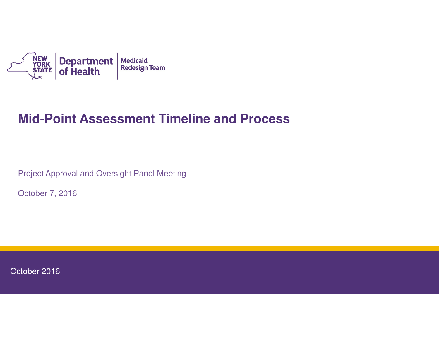

### **Mid-Point Assessment Timeline and Process**

Project Approval and Oversight Panel Meeting

October 7, 2016

October 2016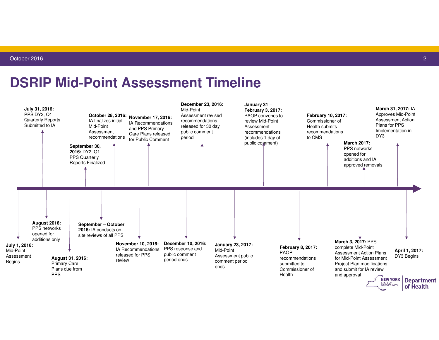#### **DSRIP Mid-Point Assessment Timeline**

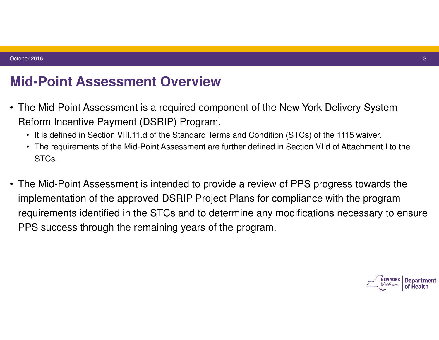### **Mid-Point Assessment Overview**

- The Mid-Point Assessment is a required component of the New York Delivery System Reform Incentive Payment (DSRIP) Program.
	- It is defined in Section VIII.11.d of the Standard Terms and Condition (STCs) of the 1115 waiver.
	- The requirements of the Mid-Point Assessment are further defined in Section VI.d of Attachment I to the STCs.
- The Mid-Point Assessment is intended to provide a review of PPS progress towards the implementation of the approved DSRIP Project Plans for compliance with the program requirements identified in the STCs and to determine any modifications necessary to ensure PPS success through the remaining years of the program.

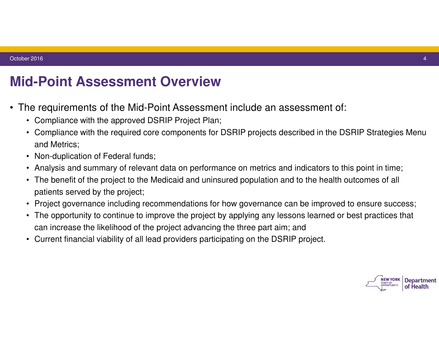## **Mid-Point Assessment Overview**

- The requirements of the Mid-Point Assessment include an assessment of:
	- Compliance with the approved DSRIP Project Plan;
	- Compliance with the required core components for DSRIP projects described in the DSRIP Strategies Menu and Metrics;
	- Non-duplication of Federal funds;
	- Analysis and summary of relevant data on performance on metrics and indicators to this point in time;
	- The benefit of the project to the Medicaid and uninsured population and to the health outcomes of all patients served by the project;
	- Project governance including recommendations for how governance can be improved to ensure success;
	- The opportunity to continue to improve the project by applying any lessons learned or best practices that can increase the likelihood of the project advancing the three part aim; and
	- Current financial viability of all lead providers participating on the DSRIP project.

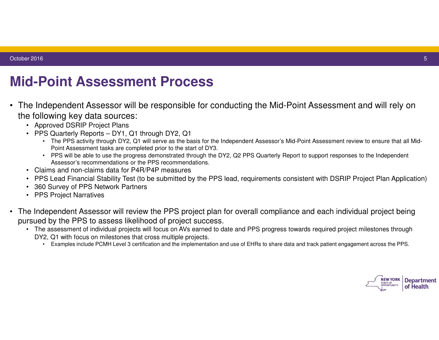# **Mid-Point Assessment Process**

- The Independent Assessor will be responsible for conducting the Mid-Point Assessment and will rely on the following key data sources:
	- Approved DSRIP Project Plans
	- PPS Quarterly Reports DY1, Q1 through DY2, Q1
		- The PPS activity through DY2, Q1 will serve as the basis for the Independent Assessor's Mid-Point Assessment review to ensure that all Mid-Point Assessment tasks are completed prior to the start of DY3.
		- PPS will be able to use the progress demonstrated through the DY2, Q2 PPS Quarterly Report to support responses to the Independent Assessor's recommendations or the PPS recommendations.
	- • Claims and non-claims data for P4R/P4P measures
	- PPS Lead Financial Stability Test (to be submitted by the PPS lead, requirements consistent with DSRIP Project Plan Application)
	- • 360 Survey of PPS Network Partners
	- • PPS Project Narratives
- The Independent Assessor will review the PPS project plan for overall compliance and each individual project being pursued by the PPS to assess likelihood of project success.
	- The assessment of individual projects will focus on AVs earned to date and PPS progress towards required project milestones through DY2, Q1 with focus on milestones that cross multiple projects.
		- • Examples include PCMH Level 3 certification and the implementation and use of EHRs to share data and track patient engagement across the PPS.

**NEW YORK Department** of Health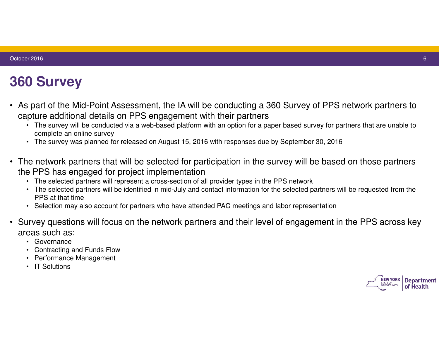# **360 Survey**

- As part of the Mid-Point Assessment, the IA will be conducting a 360 Survey of PPS network partners to capture additional details on PPS engagement with their partners
	- The survey will be conducted via a web-based platform with an option for a paper based survey for partners that are unable to complete an online survey
	- The survey was planned for released on August 15, 2016 with responses due by September 30, 2016
- The network partners that will be selected for participation in the survey will be based on those partners the PPS has engaged for project implementation
	- The selected partners will represent a cross-section of all provider types in the PPS network
	- The selected partners will be identified in mid-July and contact information for the selected partners will be requested from the PPS at that time
	- Selection may also account for partners who have attended PAC meetings and labor representation
- Survey questions will focus on the network partners and their level of engagement in the PPS across key areas such as:
	- • Governance
	- **Contracting and Funds Flow**
	- **Performance Management**
	- IT Solutions

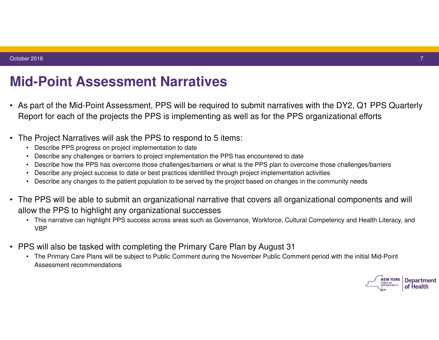## **Mid-Point Assessment Narratives**

- As part of the Mid-Point Assessment, PPS will be required to submit narratives with the DY2, Q1 PPS Quarterly Report for each of the projects the PPS is implementing as well as for the PPS organizational efforts
- The Project Narratives will ask the PPS to respond to 5 items:
	- Describe PPS progress on project implementation to date
	- Describe any challenges or barriers to project implementation the PPS has encountered to date
	- Describe how the PPS has overcome those challenges/barriers or what is the PPS plan to overcome those challenges/barriers
	- Describe any project success to date or best practices identified through project implementation activities
	- Describe any changes to the patient population to be served by the project based on changes in the community needs
- The PPS will be able to submit an organizational narrative that covers all organizational components and will allow the PPS to highlight any organizational successes
	- This narrative can highlight PPS success across areas such as Governance, Workforce, Cultural Competency and Health Literacy, and VBP
- PPS will also be tasked with completing the Primary Care Plan by August 31
	- The Primary Care Plans will be subject to Public Comment during the November Public Comment period with the initial Mid-Point Assessment recommendations

**Department** of Health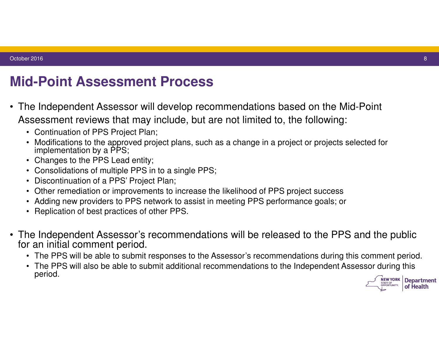# **Mid-Point Assessment Process**

- The Independent Assessor will develop recommendations based on the Mid-Point Assessment reviews that may include, but are not limited to, the following:
	- Continuation of PPS Project Plan;
	- Modifications to the approved project plans, such as a change in a project or projects selected for implementation by a PPS;
	- Changes to the PPS Lead entity;
	- Consolidations of multiple PPS in to a single PPS;
	- Discontinuation of a PPS' Project Plan;
	- Other remediation or improvements to increase the likelihood of PPS project success
	- Adding new providers to PPS network to assist in meeting PPS performance goals; or
	- Replication of best practices of other PPS.
- The Independent Assessor's recommendations will be released to the PPS and the public for an initial comment period.
	- The PPS will be able to submit responses to the Assessor's recommendations during this comment period.
	- The PPS will also be able to submit additional recommendations to the Independent Assessor during this period. **NEW YORK Department**

of Health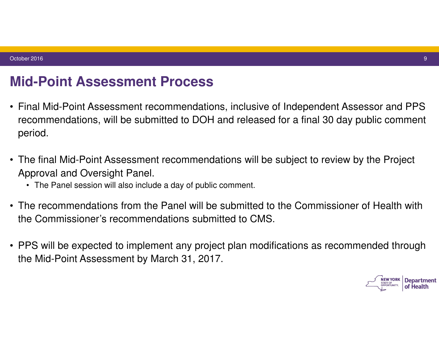### **Mid-Point Assessment Process**

- Final Mid-Point Assessment recommendations, inclusive of Independent Assessor and PPS recommendations, will be submitted to DOH and released for a final 30 day public comment period.
- The final Mid-Point Assessment recommendations will be subject to review by the Project Approval and Oversight Panel.
	- The Panel session will also include a day of public comment.
- The recommendations from the Panel will be submitted to the Commissioner of Health with the Commissioner's recommendations submitted to CMS.
- PPS will be expected to implement any project plan modifications as recommended through the Mid-Point Assessment by March 31, 2017.